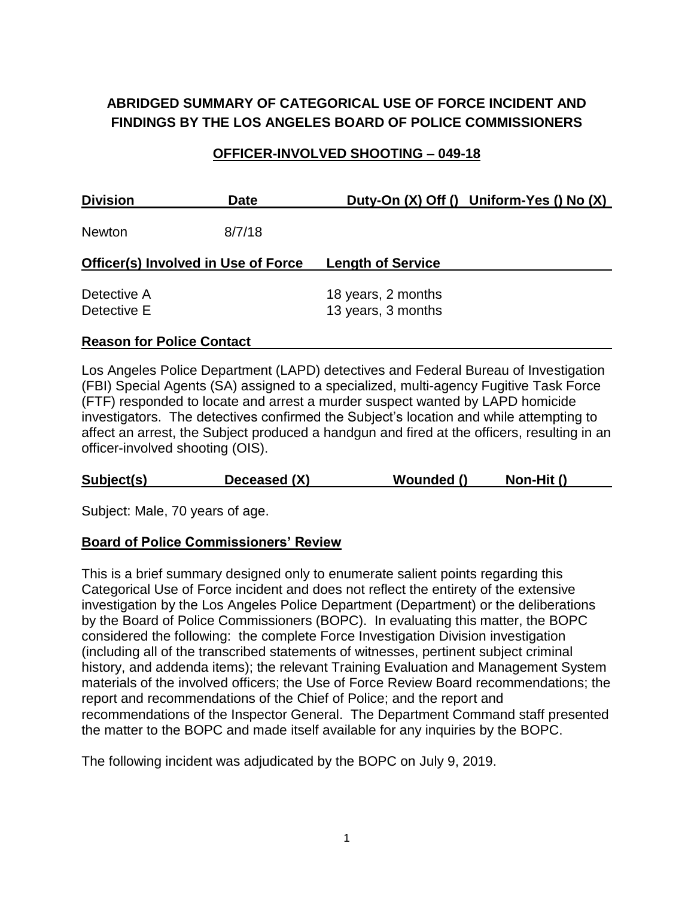# **ABRIDGED SUMMARY OF CATEGORICAL USE OF FORCE INCIDENT AND FINDINGS BY THE LOS ANGELES BOARD OF POLICE COMMISSIONERS**

### **OFFICER-INVOLVED SHOOTING – 049-18**

| <b>Division</b>                     | <b>Date</b> |                                          | Duty-On (X) Off () Uniform-Yes () No (X) |
|-------------------------------------|-------------|------------------------------------------|------------------------------------------|
| <b>Newton</b>                       | 8/7/18      |                                          |                                          |
| Officer(s) Involved in Use of Force |             | <b>Length of Service</b>                 |                                          |
| Detective A<br>Detective E          |             | 18 years, 2 months<br>13 years, 3 months |                                          |

#### **Reason for Police Contact**

Los Angeles Police Department (LAPD) detectives and Federal Bureau of Investigation (FBI) Special Agents (SA) assigned to a specialized, multi-agency Fugitive Task Force (FTF) responded to locate and arrest a murder suspect wanted by LAPD homicide investigators. The detectives confirmed the Subject's location and while attempting to affect an arrest, the Subject produced a handgun and fired at the officers, resulting in an officer-involved shooting (OIS).

| Subject(s)<br>Deceased (X)<br>Wounded ()<br>Non-Hit () |  |
|--------------------------------------------------------|--|
|--------------------------------------------------------|--|

Subject: Male, 70 years of age.

### **Board of Police Commissioners' Review**

This is a brief summary designed only to enumerate salient points regarding this Categorical Use of Force incident and does not reflect the entirety of the extensive investigation by the Los Angeles Police Department (Department) or the deliberations by the Board of Police Commissioners (BOPC). In evaluating this matter, the BOPC considered the following: the complete Force Investigation Division investigation (including all of the transcribed statements of witnesses, pertinent subject criminal history, and addenda items); the relevant Training Evaluation and Management System materials of the involved officers; the Use of Force Review Board recommendations; the report and recommendations of the Chief of Police; and the report and recommendations of the Inspector General. The Department Command staff presented the matter to the BOPC and made itself available for any inquiries by the BOPC.

The following incident was adjudicated by the BOPC on July 9, 2019.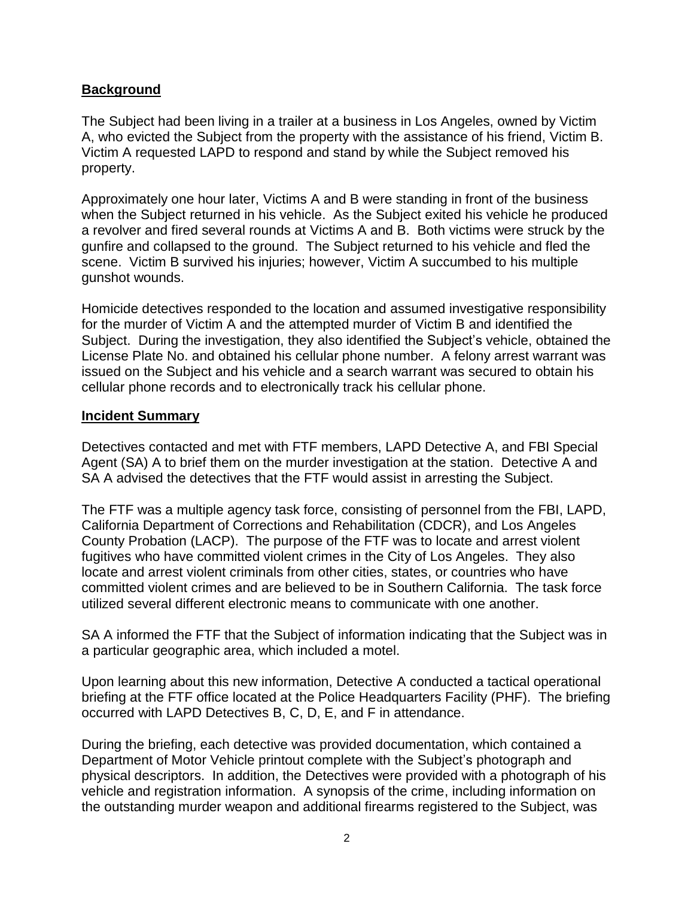## **Background**

The Subject had been living in a trailer at a business in Los Angeles, owned by Victim A, who evicted the Subject from the property with the assistance of his friend, Victim B. Victim A requested LAPD to respond and stand by while the Subject removed his property.

Approximately one hour later, Victims A and B were standing in front of the business when the Subject returned in his vehicle. As the Subject exited his vehicle he produced a revolver and fired several rounds at Victims A and B. Both victims were struck by the gunfire and collapsed to the ground. The Subject returned to his vehicle and fled the scene. Victim B survived his injuries; however, Victim A succumbed to his multiple gunshot wounds.

Homicide detectives responded to the location and assumed investigative responsibility for the murder of Victim A and the attempted murder of Victim B and identified the Subject. During the investigation, they also identified the Subject's vehicle, obtained the License Plate No. and obtained his cellular phone number. A felony arrest warrant was issued on the Subject and his vehicle and a search warrant was secured to obtain his cellular phone records and to electronically track his cellular phone.

### **Incident Summary**

Detectives contacted and met with FTF members, LAPD Detective A, and FBI Special Agent (SA) A to brief them on the murder investigation at the station. Detective A and SA A advised the detectives that the FTF would assist in arresting the Subject.

The FTF was a multiple agency task force, consisting of personnel from the FBI, LAPD, California Department of Corrections and Rehabilitation (CDCR), and Los Angeles County Probation (LACP). The purpose of the FTF was to locate and arrest violent fugitives who have committed violent crimes in the City of Los Angeles. They also locate and arrest violent criminals from other cities, states, or countries who have committed violent crimes and are believed to be in Southern California. The task force utilized several different electronic means to communicate with one another.

SA A informed the FTF that the Subject of information indicating that the Subject was in a particular geographic area, which included a motel.

Upon learning about this new information, Detective A conducted a tactical operational briefing at the FTF office located at the Police Headquarters Facility (PHF). The briefing occurred with LAPD Detectives B, C, D, E, and F in attendance.

During the briefing, each detective was provided documentation, which contained a Department of Motor Vehicle printout complete with the Subject's photograph and physical descriptors. In addition, the Detectives were provided with a photograph of his vehicle and registration information. A synopsis of the crime, including information on the outstanding murder weapon and additional firearms registered to the Subject, was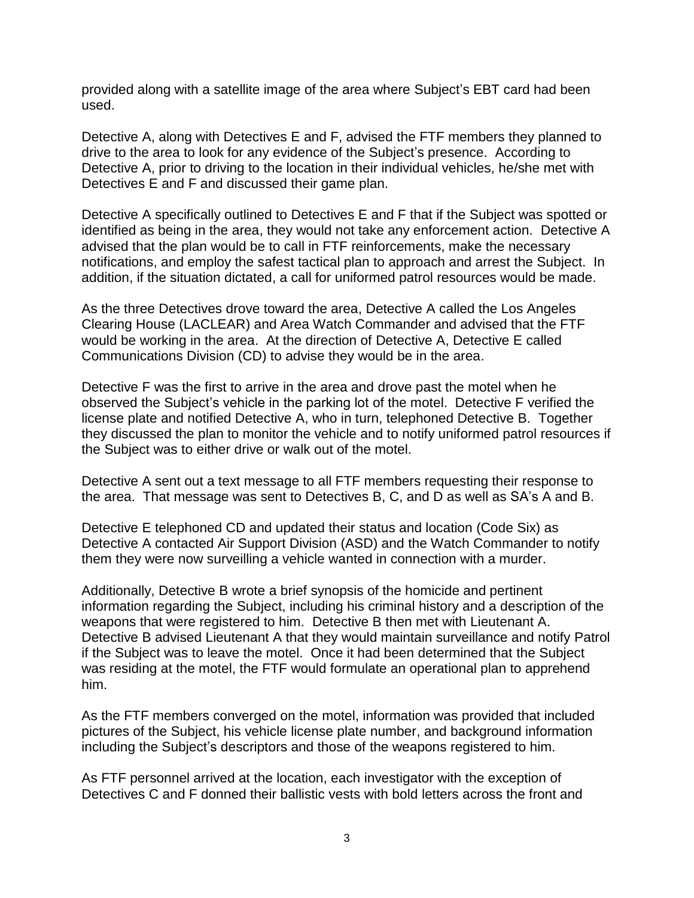provided along with a satellite image of the area where Subject's EBT card had been used.

Detective A, along with Detectives E and F, advised the FTF members they planned to drive to the area to look for any evidence of the Subject's presence. According to Detective A, prior to driving to the location in their individual vehicles, he/she met with Detectives E and F and discussed their game plan.

Detective A specifically outlined to Detectives E and F that if the Subject was spotted or identified as being in the area, they would not take any enforcement action. Detective A advised that the plan would be to call in FTF reinforcements, make the necessary notifications, and employ the safest tactical plan to approach and arrest the Subject. In addition, if the situation dictated, a call for uniformed patrol resources would be made.

As the three Detectives drove toward the area, Detective A called the Los Angeles Clearing House (LACLEAR) and Area Watch Commander and advised that the FTF would be working in the area. At the direction of Detective A, Detective E called Communications Division (CD) to advise they would be in the area.

Detective F was the first to arrive in the area and drove past the motel when he observed the Subject's vehicle in the parking lot of the motel. Detective F verified the license plate and notified Detective A, who in turn, telephoned Detective B. Together they discussed the plan to monitor the vehicle and to notify uniformed patrol resources if the Subject was to either drive or walk out of the motel.

Detective A sent out a text message to all FTF members requesting their response to the area. That message was sent to Detectives B, C, and D as well as SA's A and B.

Detective E telephoned CD and updated their status and location (Code Six) as Detective A contacted Air Support Division (ASD) and the Watch Commander to notify them they were now surveilling a vehicle wanted in connection with a murder.

Additionally, Detective B wrote a brief synopsis of the homicide and pertinent information regarding the Subject, including his criminal history and a description of the weapons that were registered to him. Detective B then met with Lieutenant A. Detective B advised Lieutenant A that they would maintain surveillance and notify Patrol if the Subject was to leave the motel. Once it had been determined that the Subject was residing at the motel, the FTF would formulate an operational plan to apprehend him.

As the FTF members converged on the motel, information was provided that included pictures of the Subject, his vehicle license plate number, and background information including the Subject's descriptors and those of the weapons registered to him.

As FTF personnel arrived at the location, each investigator with the exception of Detectives C and F donned their ballistic vests with bold letters across the front and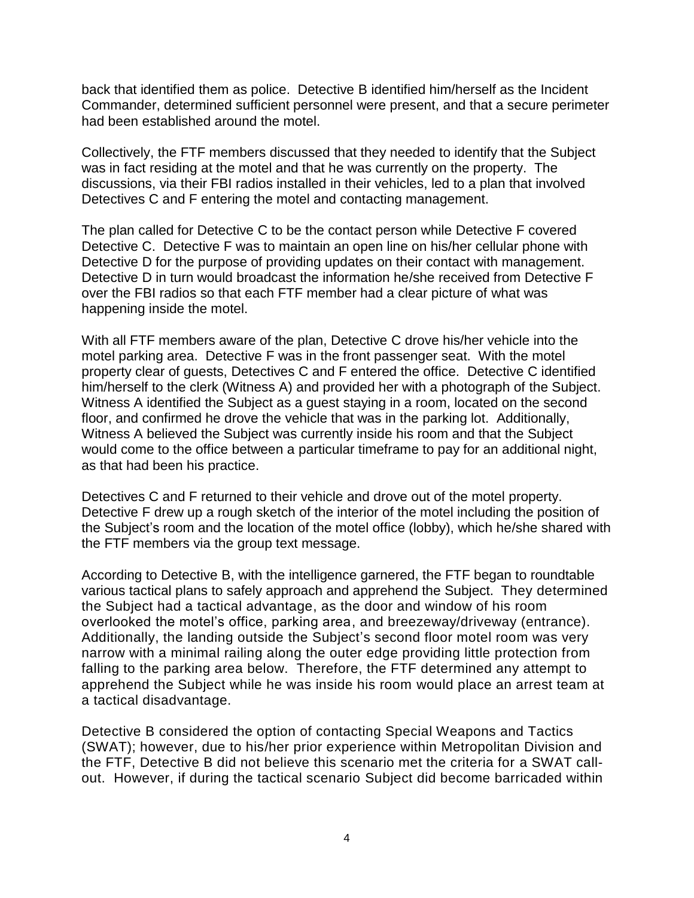back that identified them as police. Detective B identified him/herself as the Incident Commander, determined sufficient personnel were present, and that a secure perimeter had been established around the motel.

Collectively, the FTF members discussed that they needed to identify that the Subject was in fact residing at the motel and that he was currently on the property. The discussions, via their FBI radios installed in their vehicles, led to a plan that involved Detectives C and F entering the motel and contacting management.

The plan called for Detective C to be the contact person while Detective F covered Detective C. Detective F was to maintain an open line on his/her cellular phone with Detective D for the purpose of providing updates on their contact with management. Detective D in turn would broadcast the information he/she received from Detective F over the FBI radios so that each FTF member had a clear picture of what was happening inside the motel.

With all FTF members aware of the plan, Detective C drove his/her vehicle into the motel parking area. Detective F was in the front passenger seat. With the motel property clear of guests, Detectives C and F entered the office. Detective C identified him/herself to the clerk (Witness A) and provided her with a photograph of the Subject. Witness A identified the Subject as a guest staying in a room, located on the second floor, and confirmed he drove the vehicle that was in the parking lot. Additionally, Witness A believed the Subject was currently inside his room and that the Subject would come to the office between a particular timeframe to pay for an additional night, as that had been his practice.

Detectives C and F returned to their vehicle and drove out of the motel property. Detective F drew up a rough sketch of the interior of the motel including the position of the Subject's room and the location of the motel office (lobby), which he/she shared with the FTF members via the group text message.

According to Detective B, with the intelligence garnered, the FTF began to roundtable various tactical plans to safely approach and apprehend the Subject. They determined the Subject had a tactical advantage, as the door and window of his room overlooked the motel's office, parking area, and breezeway/driveway (entrance). Additionally, the landing outside the Subject's second floor motel room was very narrow with a minimal railing along the outer edge providing little protection from falling to the parking area below. Therefore, the FTF determined any attempt to apprehend the Subject while he was inside his room would place an arrest team at a tactical disadvantage.

Detective B considered the option of contacting Special Weapons and Tactics (SWAT); however, due to his/her prior experience within Metropolitan Division and the FTF, Detective B did not believe this scenario met the criteria for a SWAT callout. However, if during the tactical scenario Subject did become barricaded within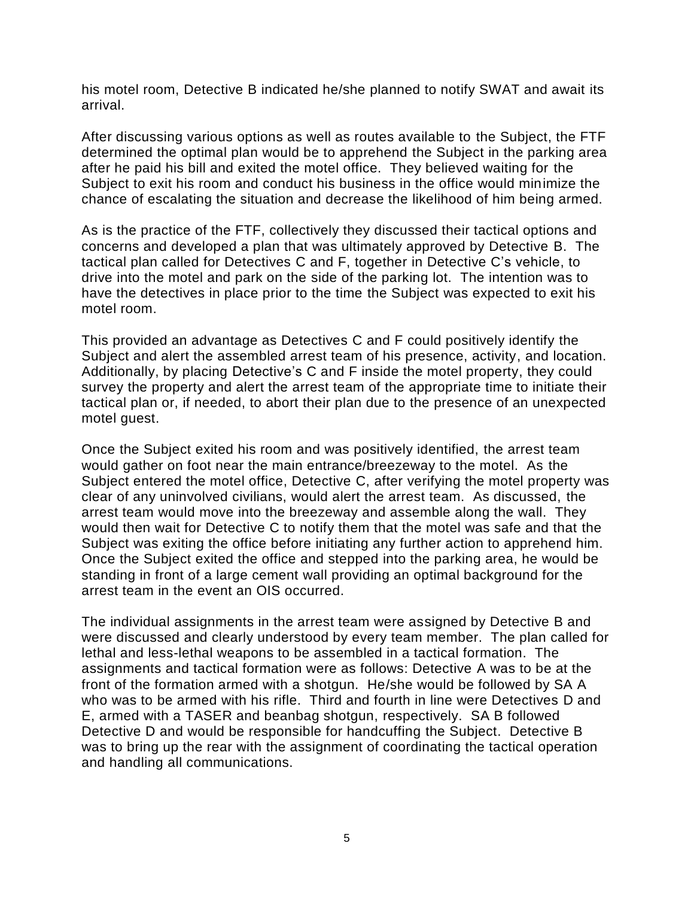his motel room, Detective B indicated he/she planned to notify SWAT and await its arrival.

After discussing various options as well as routes available to the Subject, the FTF determined the optimal plan would be to apprehend the Subject in the parking area after he paid his bill and exited the motel office. They believed waiting for the Subject to exit his room and conduct his business in the office would minimize the chance of escalating the situation and decrease the likelihood of him being armed.

As is the practice of the FTF, collectively they discussed their tactical options and concerns and developed a plan that was ultimately approved by Detective B. The tactical plan called for Detectives C and F, together in Detective C's vehicle, to drive into the motel and park on the side of the parking lot. The intention was to have the detectives in place prior to the time the Subject was expected to exit his motel room.

This provided an advantage as Detectives C and F could positively identify the Subject and alert the assembled arrest team of his presence, activity, and location. Additionally, by placing Detective's C and F inside the motel property, they could survey the property and alert the arrest team of the appropriate time to initiate their tactical plan or, if needed, to abort their plan due to the presence of an unexpected motel guest.

Once the Subject exited his room and was positively identified, the arrest team would gather on foot near the main entrance/breezeway to the motel. As the Subject entered the motel office, Detective C, after verifying the motel property was clear of any uninvolved civilians, would alert the arrest team. As discussed, the arrest team would move into the breezeway and assemble along the wall. They would then wait for Detective C to notify them that the motel was safe and that the Subject was exiting the office before initiating any further action to apprehend him. Once the Subject exited the office and stepped into the parking area, he would be standing in front of a large cement wall providing an optimal background for the arrest team in the event an OIS occurred.

The individual assignments in the arrest team were assigned by Detective B and were discussed and clearly understood by every team member. The plan called for lethal and less-lethal weapons to be assembled in a tactical formation. The assignments and tactical formation were as follows: Detective A was to be at the front of the formation armed with a shotgun. He/she would be followed by SA A who was to be armed with his rifle. Third and fourth in line were Detectives D and E, armed with a TASER and beanbag shotgun, respectively. SA B followed Detective D and would be responsible for handcuffing the Subject. Detective B was to bring up the rear with the assignment of coordinating the tactical operation and handling all communications.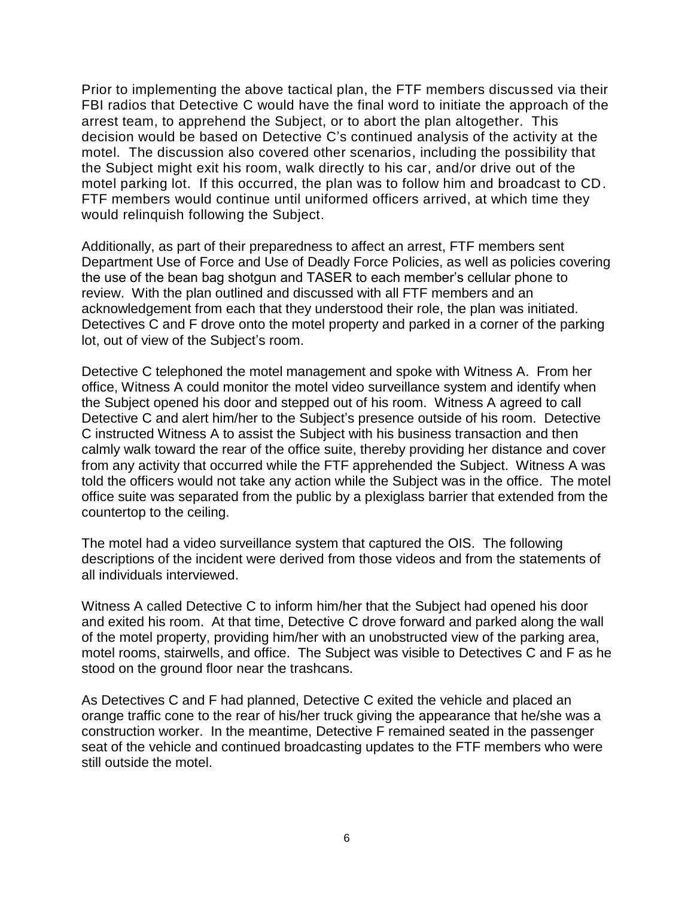Prior to implementing the above tactical plan, the FTF members discussed via their FBI radios that Detective C would have the final word to initiate the approach of the arrest team, to apprehend the Subject, or to abort the plan altogether. This decision would be based on Detective C's continued analysis of the activity at the motel. The discussion also covered other scenarios, including the possibility that the Subject might exit his room, walk directly to his car, and/or drive out of the motel parking lot. If this occurred, the plan was to follow him and broadcast to CD. FTF members would continue until uniformed officers arrived, at which time they would relinquish following the Subject.

Additionally, as part of their preparedness to affect an arrest, FTF members sent Department Use of Force and Use of Deadly Force Policies, as well as policies covering the use of the bean bag shotgun and TASER to each member's cellular phone to review. With the plan outlined and discussed with all FTF members and an acknowledgement from each that they understood their role, the plan was initiated. Detectives C and F drove onto the motel property and parked in a corner of the parking lot, out of view of the Subject's room.

Detective C telephoned the motel management and spoke with Witness A. From her office, Witness A could monitor the motel video surveillance system and identify when the Subject opened his door and stepped out of his room. Witness A agreed to call Detective C and alert him/her to the Subject's presence outside of his room. Detective C instructed Witness A to assist the Subject with his business transaction and then calmly walk toward the rear of the office suite, thereby providing her distance and cover from any activity that occurred while the FTF apprehended the Subject. Witness A was told the officers would not take any action while the Subject was in the office. The motel office suite was separated from the public by a plexiglass barrier that extended from the countertop to the ceiling.

The motel had a video surveillance system that captured the OIS. The following descriptions of the incident were derived from those videos and from the statements of all individuals interviewed.

Witness A called Detective C to inform him/her that the Subject had opened his door and exited his room. At that time, Detective C drove forward and parked along the wall of the motel property, providing him/her with an unobstructed view of the parking area, motel rooms, stairwells, and office. The Subject was visible to Detectives C and F as he stood on the ground floor near the trashcans.

As Detectives C and F had planned, Detective C exited the vehicle and placed an orange traffic cone to the rear of his/her truck giving the appearance that he/she was a construction worker. In the meantime, Detective F remained seated in the passenger seat of the vehicle and continued broadcasting updates to the FTF members who were still outside the motel.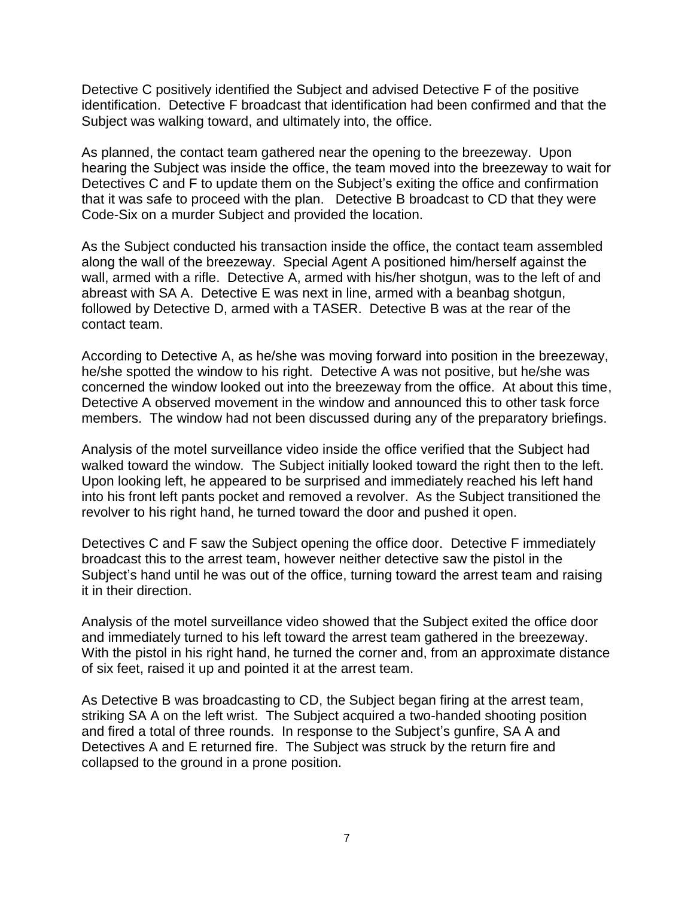Detective C positively identified the Subject and advised Detective F of the positive identification. Detective F broadcast that identification had been confirmed and that the Subject was walking toward, and ultimately into, the office.

As planned, the contact team gathered near the opening to the breezeway. Upon hearing the Subject was inside the office, the team moved into the breezeway to wait for Detectives C and F to update them on the Subject's exiting the office and confirmation that it was safe to proceed with the plan. Detective B broadcast to CD that they were Code-Six on a murder Subject and provided the location.

As the Subject conducted his transaction inside the office, the contact team assembled along the wall of the breezeway. Special Agent A positioned him/herself against the wall, armed with a rifle. Detective A, armed with his/her shotgun, was to the left of and abreast with SA A. Detective E was next in line, armed with a beanbag shotgun, followed by Detective D, armed with a TASER. Detective B was at the rear of the contact team.

According to Detective A, as he/she was moving forward into position in the breezeway, he/she spotted the window to his right. Detective A was not positive, but he/she was concerned the window looked out into the breezeway from the office. At about this time, Detective A observed movement in the window and announced this to other task force members. The window had not been discussed during any of the preparatory briefings.

Analysis of the motel surveillance video inside the office verified that the Subject had walked toward the window. The Subject initially looked toward the right then to the left. Upon looking left, he appeared to be surprised and immediately reached his left hand into his front left pants pocket and removed a revolver. As the Subject transitioned the revolver to his right hand, he turned toward the door and pushed it open.

Detectives C and F saw the Subject opening the office door. Detective F immediately broadcast this to the arrest team, however neither detective saw the pistol in the Subject's hand until he was out of the office, turning toward the arrest team and raising it in their direction.

Analysis of the motel surveillance video showed that the Subject exited the office door and immediately turned to his left toward the arrest team gathered in the breezeway. With the pistol in his right hand, he turned the corner and, from an approximate distance of six feet, raised it up and pointed it at the arrest team.

As Detective B was broadcasting to CD, the Subject began firing at the arrest team, striking SA A on the left wrist. The Subject acquired a two-handed shooting position and fired a total of three rounds. In response to the Subject's gunfire, SA A and Detectives A and E returned fire. The Subject was struck by the return fire and collapsed to the ground in a prone position.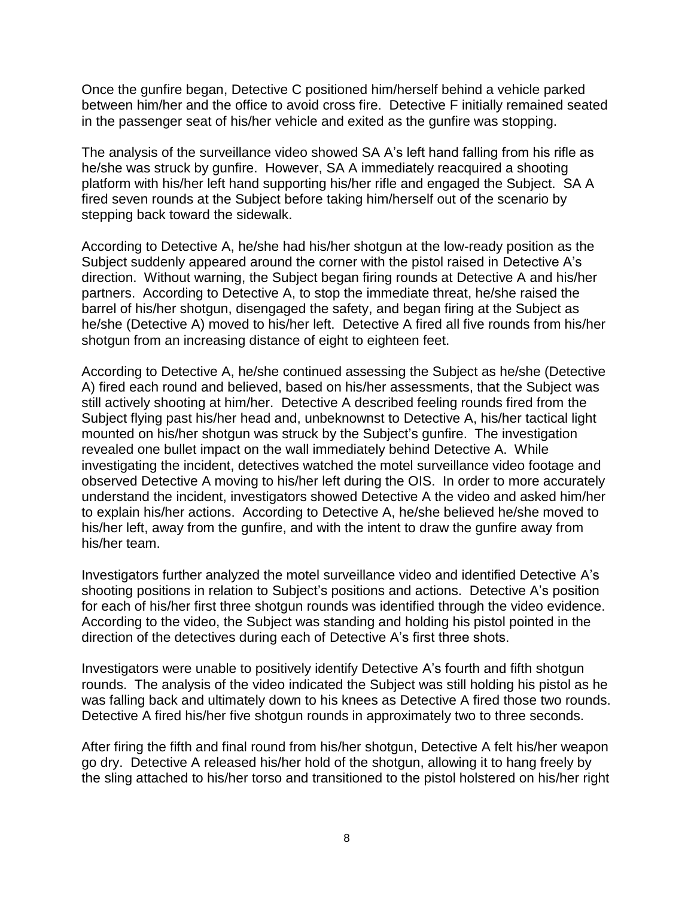Once the gunfire began, Detective C positioned him/herself behind a vehicle parked between him/her and the office to avoid cross fire. Detective F initially remained seated in the passenger seat of his/her vehicle and exited as the gunfire was stopping.

The analysis of the surveillance video showed SA A's left hand falling from his rifle as he/she was struck by gunfire. However, SA A immediately reacquired a shooting platform with his/her left hand supporting his/her rifle and engaged the Subject. SA A fired seven rounds at the Subject before taking him/herself out of the scenario by stepping back toward the sidewalk.

According to Detective A, he/she had his/her shotgun at the low-ready position as the Subject suddenly appeared around the corner with the pistol raised in Detective A's direction. Without warning, the Subject began firing rounds at Detective A and his/her partners. According to Detective A, to stop the immediate threat, he/she raised the barrel of his/her shotgun, disengaged the safety, and began firing at the Subject as he/she (Detective A) moved to his/her left. Detective A fired all five rounds from his/her shotgun from an increasing distance of eight to eighteen feet.

According to Detective A, he/she continued assessing the Subject as he/she (Detective A) fired each round and believed, based on his/her assessments, that the Subject was still actively shooting at him/her. Detective A described feeling rounds fired from the Subject flying past his/her head and, unbeknownst to Detective A, his/her tactical light mounted on his/her shotgun was struck by the Subject's gunfire. The investigation revealed one bullet impact on the wall immediately behind Detective A. While investigating the incident, detectives watched the motel surveillance video footage and observed Detective A moving to his/her left during the OIS. In order to more accurately understand the incident, investigators showed Detective A the video and asked him/her to explain his/her actions. According to Detective A, he/she believed he/she moved to his/her left, away from the gunfire, and with the intent to draw the gunfire away from his/her team.

Investigators further analyzed the motel surveillance video and identified Detective A's shooting positions in relation to Subject's positions and actions. Detective A's position for each of his/her first three shotgun rounds was identified through the video evidence. According to the video, the Subject was standing and holding his pistol pointed in the direction of the detectives during each of Detective A's first three shots.

Investigators were unable to positively identify Detective A's fourth and fifth shotgun rounds. The analysis of the video indicated the Subject was still holding his pistol as he was falling back and ultimately down to his knees as Detective A fired those two rounds. Detective A fired his/her five shotgun rounds in approximately two to three seconds.

After firing the fifth and final round from his/her shotgun, Detective A felt his/her weapon go dry. Detective A released his/her hold of the shotgun, allowing it to hang freely by the sling attached to his/her torso and transitioned to the pistol holstered on his/her right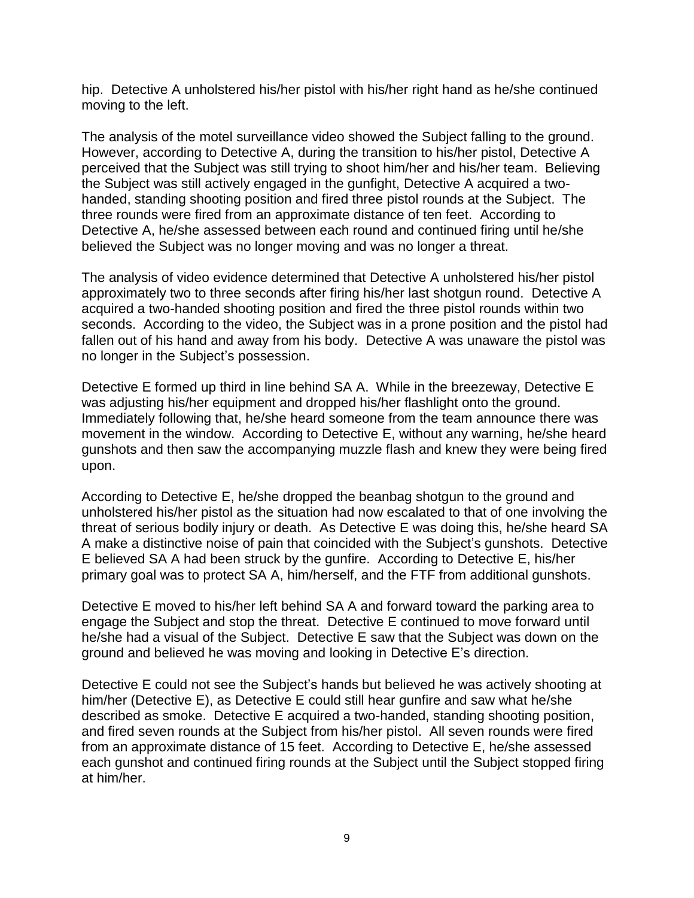hip. Detective A unholstered his/her pistol with his/her right hand as he/she continued moving to the left.

The analysis of the motel surveillance video showed the Subject falling to the ground. However, according to Detective A, during the transition to his/her pistol, Detective A perceived that the Subject was still trying to shoot him/her and his/her team. Believing the Subject was still actively engaged in the gunfight, Detective A acquired a twohanded, standing shooting position and fired three pistol rounds at the Subject. The three rounds were fired from an approximate distance of ten feet. According to Detective A, he/she assessed between each round and continued firing until he/she believed the Subject was no longer moving and was no longer a threat.

The analysis of video evidence determined that Detective A unholstered his/her pistol approximately two to three seconds after firing his/her last shotgun round. Detective A acquired a two-handed shooting position and fired the three pistol rounds within two seconds. According to the video, the Subject was in a prone position and the pistol had fallen out of his hand and away from his body. Detective A was unaware the pistol was no longer in the Subject's possession.

Detective E formed up third in line behind SA A. While in the breezeway, Detective E was adjusting his/her equipment and dropped his/her flashlight onto the ground. Immediately following that, he/she heard someone from the team announce there was movement in the window. According to Detective E, without any warning, he/she heard gunshots and then saw the accompanying muzzle flash and knew they were being fired upon.

According to Detective E, he/she dropped the beanbag shotgun to the ground and unholstered his/her pistol as the situation had now escalated to that of one involving the threat of serious bodily injury or death. As Detective E was doing this, he/she heard SA A make a distinctive noise of pain that coincided with the Subject's gunshots. Detective E believed SA A had been struck by the gunfire. According to Detective E, his/her primary goal was to protect SA A, him/herself, and the FTF from additional gunshots.

Detective E moved to his/her left behind SA A and forward toward the parking area to engage the Subject and stop the threat. Detective E continued to move forward until he/she had a visual of the Subject. Detective E saw that the Subject was down on the ground and believed he was moving and looking in Detective E's direction.

Detective E could not see the Subject's hands but believed he was actively shooting at him/her (Detective E), as Detective E could still hear gunfire and saw what he/she described as smoke. Detective E acquired a two-handed, standing shooting position, and fired seven rounds at the Subject from his/her pistol. All seven rounds were fired from an approximate distance of 15 feet. According to Detective E, he/she assessed each gunshot and continued firing rounds at the Subject until the Subject stopped firing at him/her.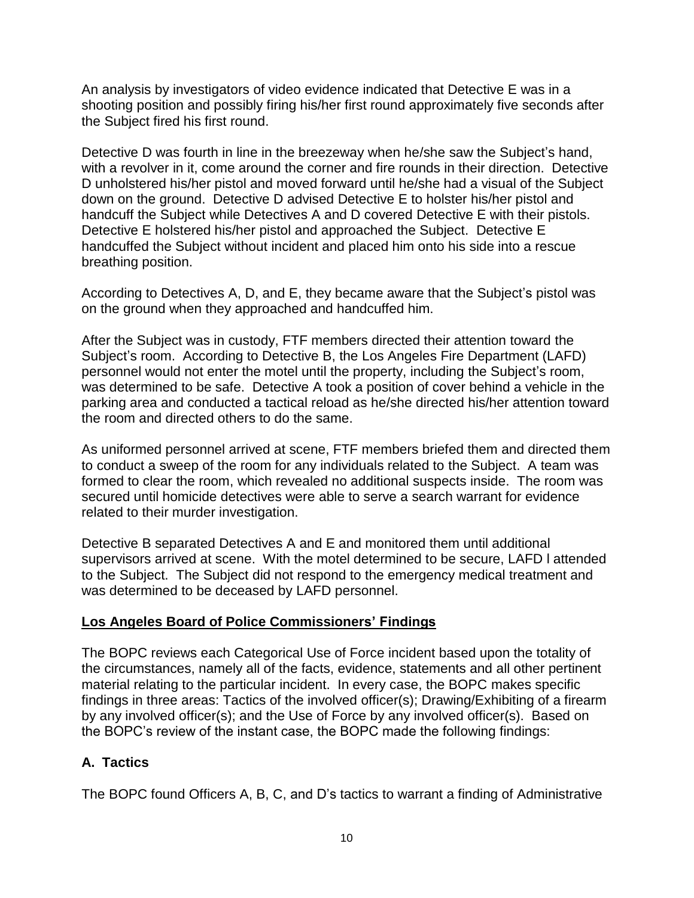An analysis by investigators of video evidence indicated that Detective E was in a shooting position and possibly firing his/her first round approximately five seconds after the Subject fired his first round.

Detective D was fourth in line in the breezeway when he/she saw the Subject's hand, with a revolver in it, come around the corner and fire rounds in their direction. Detective D unholstered his/her pistol and moved forward until he/she had a visual of the Subject down on the ground. Detective D advised Detective E to holster his/her pistol and handcuff the Subject while Detectives A and D covered Detective E with their pistols. Detective E holstered his/her pistol and approached the Subject. Detective E handcuffed the Subject without incident and placed him onto his side into a rescue breathing position.

According to Detectives A, D, and E, they became aware that the Subject's pistol was on the ground when they approached and handcuffed him.

After the Subject was in custody, FTF members directed their attention toward the Subject's room. According to Detective B, the Los Angeles Fire Department (LAFD) personnel would not enter the motel until the property, including the Subject's room, was determined to be safe. Detective A took a position of cover behind a vehicle in the parking area and conducted a tactical reload as he/she directed his/her attention toward the room and directed others to do the same.

As uniformed personnel arrived at scene, FTF members briefed them and directed them to conduct a sweep of the room for any individuals related to the Subject. A team was formed to clear the room, which revealed no additional suspects inside. The room was secured until homicide detectives were able to serve a search warrant for evidence related to their murder investigation.

Detective B separated Detectives A and E and monitored them until additional supervisors arrived at scene. With the motel determined to be secure, LAFD l attended to the Subject. The Subject did not respond to the emergency medical treatment and was determined to be deceased by LAFD personnel.

## **Los Angeles Board of Police Commissioners' Findings**

The BOPC reviews each Categorical Use of Force incident based upon the totality of the circumstances, namely all of the facts, evidence, statements and all other pertinent material relating to the particular incident. In every case, the BOPC makes specific findings in three areas: Tactics of the involved officer(s); Drawing/Exhibiting of a firearm by any involved officer(s); and the Use of Force by any involved officer(s). Based on the BOPC's review of the instant case, the BOPC made the following findings:

## **A. Tactics**

The BOPC found Officers A, B, C, and D's tactics to warrant a finding of Administrative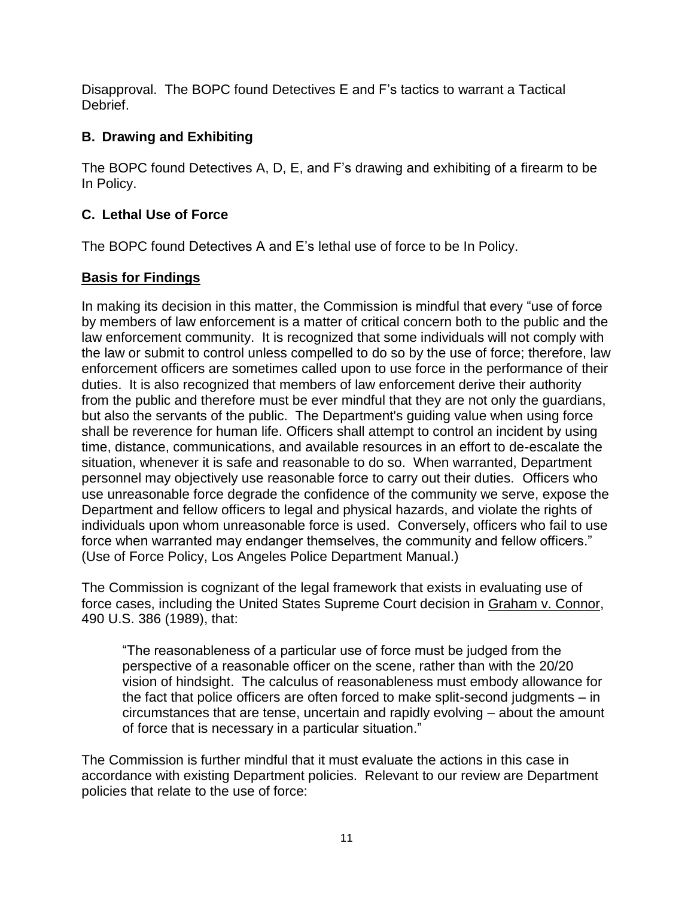Disapproval. The BOPC found Detectives E and F's tactics to warrant a Tactical Debrief.

# **B. Drawing and Exhibiting**

The BOPC found Detectives A, D, E, and F's drawing and exhibiting of a firearm to be In Policy.

## **C. Lethal Use of Force**

The BOPC found Detectives A and E's lethal use of force to be In Policy.

## **Basis for Findings**

In making its decision in this matter, the Commission is mindful that every "use of force by members of law enforcement is a matter of critical concern both to the public and the law enforcement community. It is recognized that some individuals will not comply with the law or submit to control unless compelled to do so by the use of force; therefore, law enforcement officers are sometimes called upon to use force in the performance of their duties. It is also recognized that members of law enforcement derive their authority from the public and therefore must be ever mindful that they are not only the guardians, but also the servants of the public. The Department's guiding value when using force shall be reverence for human life. Officers shall attempt to control an incident by using time, distance, communications, and available resources in an effort to de-escalate the situation, whenever it is safe and reasonable to do so. When warranted, Department personnel may objectively use reasonable force to carry out their duties. Officers who use unreasonable force degrade the confidence of the community we serve, expose the Department and fellow officers to legal and physical hazards, and violate the rights of individuals upon whom unreasonable force is used. Conversely, officers who fail to use force when warranted may endanger themselves, the community and fellow officers." (Use of Force Policy, Los Angeles Police Department Manual.)

The Commission is cognizant of the legal framework that exists in evaluating use of force cases, including the United States Supreme Court decision in Graham v. Connor, 490 U.S. 386 (1989), that:

"The reasonableness of a particular use of force must be judged from the perspective of a reasonable officer on the scene, rather than with the 20/20 vision of hindsight. The calculus of reasonableness must embody allowance for the fact that police officers are often forced to make split-second judgments – in circumstances that are tense, uncertain and rapidly evolving – about the amount of force that is necessary in a particular situation."

The Commission is further mindful that it must evaluate the actions in this case in accordance with existing Department policies. Relevant to our review are Department policies that relate to the use of force: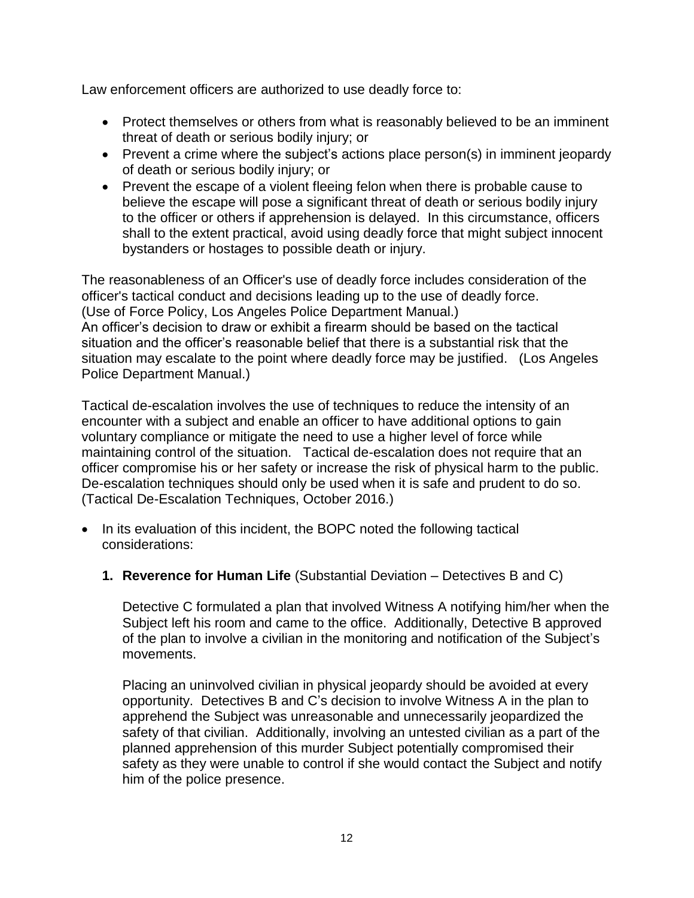Law enforcement officers are authorized to use deadly force to:

- Protect themselves or others from what is reasonably believed to be an imminent threat of death or serious bodily injury; or
- Prevent a crime where the subject's actions place person(s) in imminent jeopardy of death or serious bodily injury; or
- Prevent the escape of a violent fleeing felon when there is probable cause to believe the escape will pose a significant threat of death or serious bodily injury to the officer or others if apprehension is delayed. In this circumstance, officers shall to the extent practical, avoid using deadly force that might subject innocent bystanders or hostages to possible death or injury.

The reasonableness of an Officer's use of deadly force includes consideration of the officer's tactical conduct and decisions leading up to the use of deadly force. (Use of Force Policy, Los Angeles Police Department Manual.) An officer's decision to draw or exhibit a firearm should be based on the tactical situation and the officer's reasonable belief that there is a substantial risk that the situation may escalate to the point where deadly force may be justified. (Los Angeles Police Department Manual.)

Tactical de-escalation involves the use of techniques to reduce the intensity of an encounter with a subject and enable an officer to have additional options to gain voluntary compliance or mitigate the need to use a higher level of force while maintaining control of the situation. Tactical de-escalation does not require that an officer compromise his or her safety or increase the risk of physical harm to the public. De-escalation techniques should only be used when it is safe and prudent to do so. (Tactical De-Escalation Techniques, October 2016.)

- In its evaluation of this incident, the BOPC noted the following tactical considerations:
	- **1. Reverence for Human Life** (Substantial Deviation Detectives B and C)

Detective C formulated a plan that involved Witness A notifying him/her when the Subject left his room and came to the office. Additionally, Detective B approved of the plan to involve a civilian in the monitoring and notification of the Subject's movements.

Placing an uninvolved civilian in physical jeopardy should be avoided at every opportunity. Detectives B and C's decision to involve Witness A in the plan to apprehend the Subject was unreasonable and unnecessarily jeopardized the safety of that civilian. Additionally, involving an untested civilian as a part of the planned apprehension of this murder Subject potentially compromised their safety as they were unable to control if she would contact the Subject and notify him of the police presence.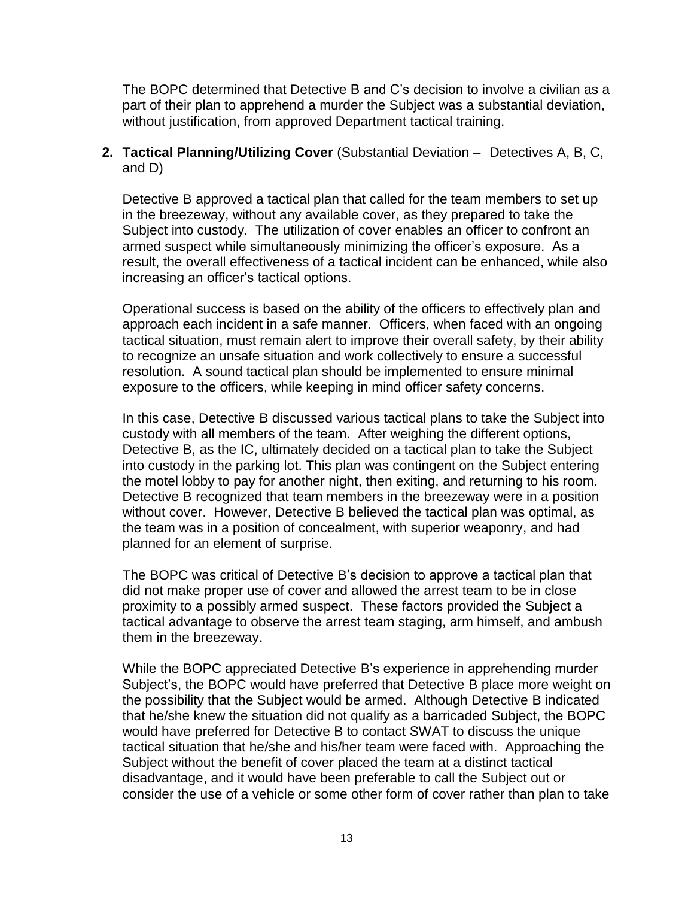The BOPC determined that Detective B and C's decision to involve a civilian as a part of their plan to apprehend a murder the Subject was a substantial deviation, without justification, from approved Department tactical training.

### **2. Tactical Planning/Utilizing Cover** (Substantial Deviation – Detectives A, B, C, and D)

Detective B approved a tactical plan that called for the team members to set up in the breezeway, without any available cover, as they prepared to take the Subject into custody. The utilization of cover enables an officer to confront an armed suspect while simultaneously minimizing the officer's exposure. As a result, the overall effectiveness of a tactical incident can be enhanced, while also increasing an officer's tactical options.

Operational success is based on the ability of the officers to effectively plan and approach each incident in a safe manner. Officers, when faced with an ongoing tactical situation, must remain alert to improve their overall safety, by their ability to recognize an unsafe situation and work collectively to ensure a successful resolution. A sound tactical plan should be implemented to ensure minimal exposure to the officers, while keeping in mind officer safety concerns.

In this case, Detective B discussed various tactical plans to take the Subject into custody with all members of the team. After weighing the different options, Detective B, as the IC, ultimately decided on a tactical plan to take the Subject into custody in the parking lot. This plan was contingent on the Subject entering the motel lobby to pay for another night, then exiting, and returning to his room. Detective B recognized that team members in the breezeway were in a position without cover. However, Detective B believed the tactical plan was optimal, as the team was in a position of concealment, with superior weaponry, and had planned for an element of surprise.

The BOPC was critical of Detective B's decision to approve a tactical plan that did not make proper use of cover and allowed the arrest team to be in close proximity to a possibly armed suspect. These factors provided the Subject a tactical advantage to observe the arrest team staging, arm himself, and ambush them in the breezeway.

While the BOPC appreciated Detective B's experience in apprehending murder Subject's, the BOPC would have preferred that Detective B place more weight on the possibility that the Subject would be armed. Although Detective B indicated that he/she knew the situation did not qualify as a barricaded Subject, the BOPC would have preferred for Detective B to contact SWAT to discuss the unique tactical situation that he/she and his/her team were faced with. Approaching the Subject without the benefit of cover placed the team at a distinct tactical disadvantage, and it would have been preferable to call the Subject out or consider the use of a vehicle or some other form of cover rather than plan to take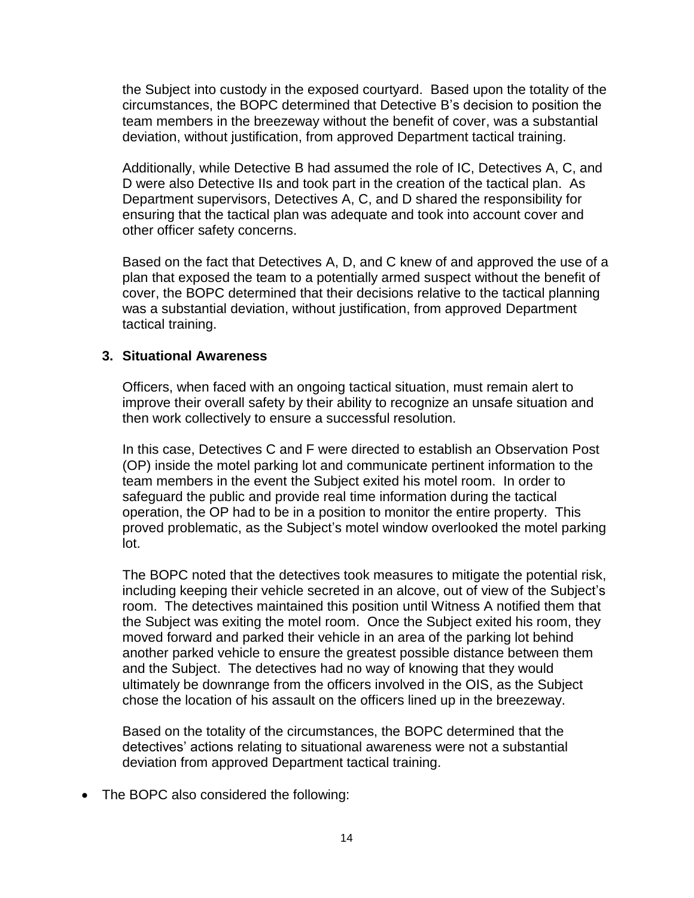the Subject into custody in the exposed courtyard. Based upon the totality of the circumstances, the BOPC determined that Detective B's decision to position the team members in the breezeway without the benefit of cover, was a substantial deviation, without justification, from approved Department tactical training.

Additionally, while Detective B had assumed the role of IC, Detectives A, C, and D were also Detective IIs and took part in the creation of the tactical plan. As Department supervisors, Detectives A, C, and D shared the responsibility for ensuring that the tactical plan was adequate and took into account cover and other officer safety concerns.

Based on the fact that Detectives A, D, and C knew of and approved the use of a plan that exposed the team to a potentially armed suspect without the benefit of cover, the BOPC determined that their decisions relative to the tactical planning was a substantial deviation, without justification, from approved Department tactical training.

### **3. Situational Awareness**

Officers, when faced with an ongoing tactical situation, must remain alert to improve their overall safety by their ability to recognize an unsafe situation and then work collectively to ensure a successful resolution.

In this case, Detectives C and F were directed to establish an Observation Post (OP) inside the motel parking lot and communicate pertinent information to the team members in the event the Subject exited his motel room. In order to safeguard the public and provide real time information during the tactical operation, the OP had to be in a position to monitor the entire property. This proved problematic, as the Subject's motel window overlooked the motel parking lot.

The BOPC noted that the detectives took measures to mitigate the potential risk, including keeping their vehicle secreted in an alcove, out of view of the Subject's room. The detectives maintained this position until Witness A notified them that the Subject was exiting the motel room. Once the Subject exited his room, they moved forward and parked their vehicle in an area of the parking lot behind another parked vehicle to ensure the greatest possible distance between them and the Subject. The detectives had no way of knowing that they would ultimately be downrange from the officers involved in the OIS, as the Subject chose the location of his assault on the officers lined up in the breezeway.

Based on the totality of the circumstances, the BOPC determined that the detectives' actions relating to situational awareness were not a substantial deviation from approved Department tactical training.

• The BOPC also considered the following: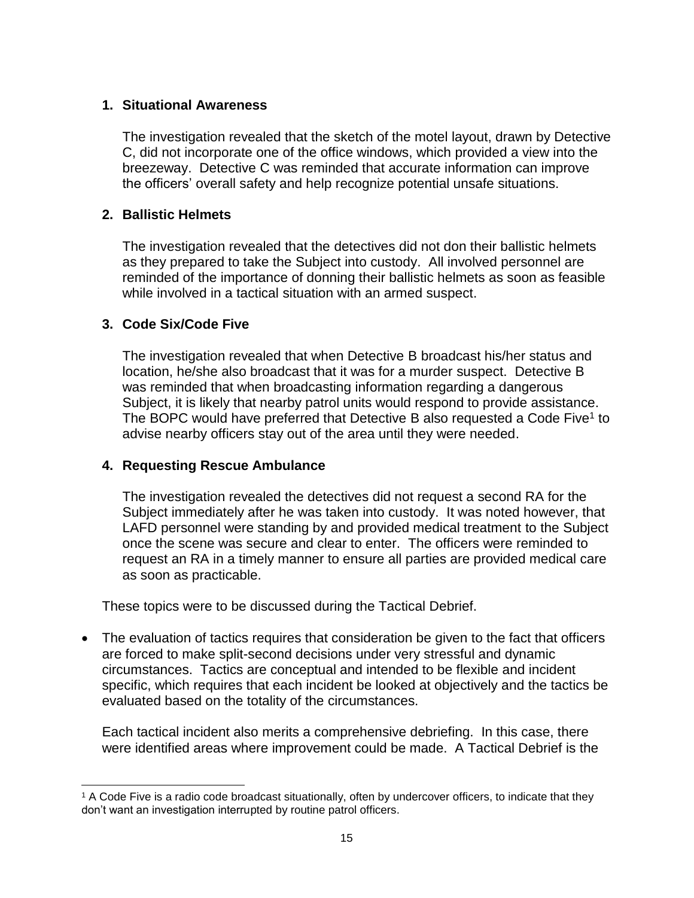### **1. Situational Awareness**

The investigation revealed that the sketch of the motel layout, drawn by Detective C, did not incorporate one of the office windows, which provided a view into the breezeway. Detective C was reminded that accurate information can improve the officers' overall safety and help recognize potential unsafe situations.

### **2. Ballistic Helmets**

The investigation revealed that the detectives did not don their ballistic helmets as they prepared to take the Subject into custody. All involved personnel are reminded of the importance of donning their ballistic helmets as soon as feasible while involved in a tactical situation with an armed suspect.

### **3. Code Six/Code Five**

l

The investigation revealed that when Detective B broadcast his/her status and location, he/she also broadcast that it was for a murder suspect. Detective B was reminded that when broadcasting information regarding a dangerous Subject, it is likely that nearby patrol units would respond to provide assistance. The BOPC would have preferred that Detective B also requested a Code Five<sup>1</sup> to advise nearby officers stay out of the area until they were needed.

### **4. Requesting Rescue Ambulance**

The investigation revealed the detectives did not request a second RA for the Subject immediately after he was taken into custody. It was noted however, that LAFD personnel were standing by and provided medical treatment to the Subject once the scene was secure and clear to enter.The officers were reminded to request an RA in a timely manner to ensure all parties are provided medical care as soon as practicable.

These topics were to be discussed during the Tactical Debrief.

• The evaluation of tactics requires that consideration be given to the fact that officers are forced to make split-second decisions under very stressful and dynamic circumstances. Tactics are conceptual and intended to be flexible and incident specific, which requires that each incident be looked at objectively and the tactics be evaluated based on the totality of the circumstances.

Each tactical incident also merits a comprehensive debriefing. In this case, there were identified areas where improvement could be made. A Tactical Debrief is the

<sup>1</sup> A Code Five is a radio code broadcast situationally, often by undercover officers, to indicate that they don't want an investigation interrupted by routine patrol officers.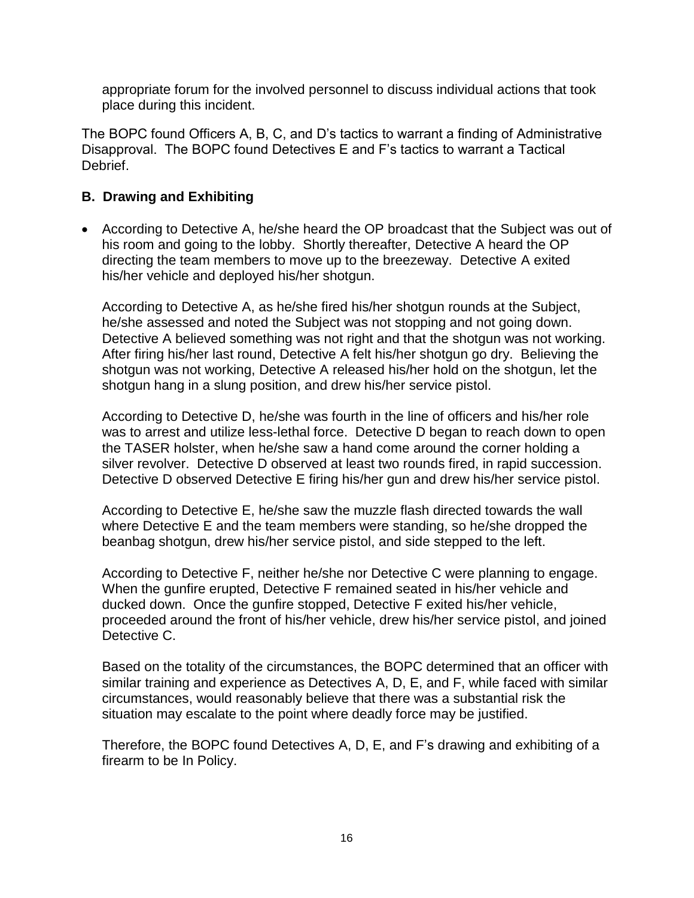appropriate forum for the involved personnel to discuss individual actions that took place during this incident.

The BOPC found Officers A, B, C, and D's tactics to warrant a finding of Administrative Disapproval. The BOPC found Detectives E and F's tactics to warrant a Tactical Debrief.

## **B. Drawing and Exhibiting**

• According to Detective A, he/she heard the OP broadcast that the Subject was out of his room and going to the lobby. Shortly thereafter, Detective A heard the OP directing the team members to move up to the breezeway. Detective A exited his/her vehicle and deployed his/her shotgun.

According to Detective A, as he/she fired his/her shotgun rounds at the Subject, he/she assessed and noted the Subject was not stopping and not going down. Detective A believed something was not right and that the shotgun was not working. After firing his/her last round, Detective A felt his/her shotgun go dry. Believing the shotgun was not working, Detective A released his/her hold on the shotgun, let the shotgun hang in a slung position, and drew his/her service pistol.

According to Detective D, he/she was fourth in the line of officers and his/her role was to arrest and utilize less-lethal force. Detective D began to reach down to open the TASER holster, when he/she saw a hand come around the corner holding a silver revolver. Detective D observed at least two rounds fired, in rapid succession. Detective D observed Detective E firing his/her gun and drew his/her service pistol.

According to Detective E, he/she saw the muzzle flash directed towards the wall where Detective E and the team members were standing, so he/she dropped the beanbag shotgun, drew his/her service pistol, and side stepped to the left.

According to Detective F, neither he/she nor Detective C were planning to engage. When the gunfire erupted, Detective F remained seated in his/her vehicle and ducked down. Once the gunfire stopped, Detective F exited his/her vehicle, proceeded around the front of his/her vehicle, drew his/her service pistol, and joined Detective C.

Based on the totality of the circumstances, the BOPC determined that an officer with similar training and experience as Detectives A, D, E, and F, while faced with similar circumstances, would reasonably believe that there was a substantial risk the situation may escalate to the point where deadly force may be justified.

Therefore, the BOPC found Detectives A, D, E, and F's drawing and exhibiting of a firearm to be In Policy.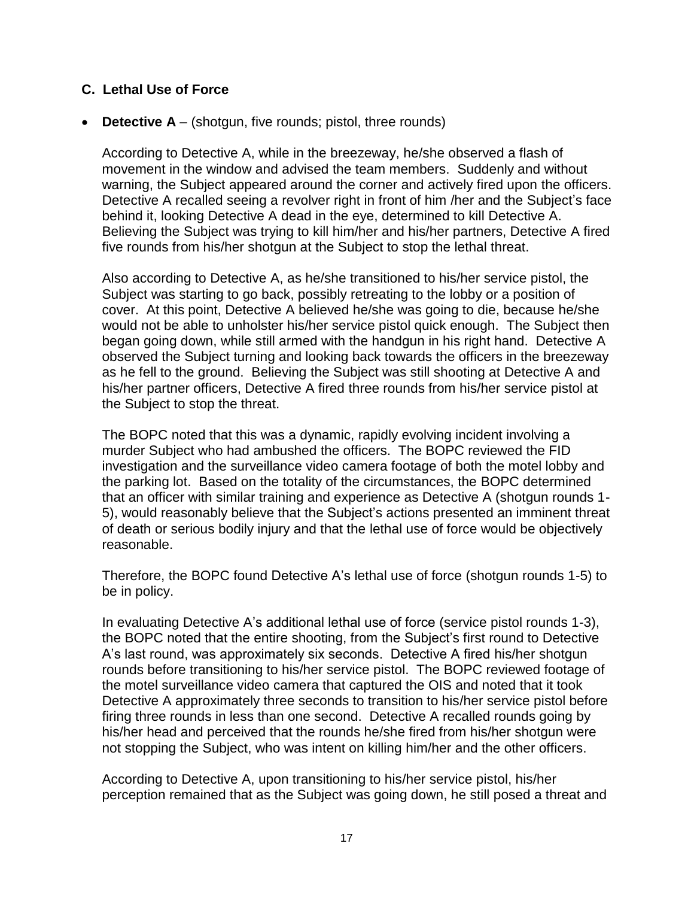### **C. Lethal Use of Force**

• **Detective A** – (shotgun, five rounds; pistol, three rounds)

According to Detective A, while in the breezeway, he/she observed a flash of movement in the window and advised the team members. Suddenly and without warning, the Subject appeared around the corner and actively fired upon the officers. Detective A recalled seeing a revolver right in front of him /her and the Subject's face behind it, looking Detective A dead in the eye, determined to kill Detective A. Believing the Subject was trying to kill him/her and his/her partners, Detective A fired five rounds from his/her shotgun at the Subject to stop the lethal threat.

Also according to Detective A, as he/she transitioned to his/her service pistol, the Subject was starting to go back, possibly retreating to the lobby or a position of cover. At this point, Detective A believed he/she was going to die, because he/she would not be able to unholster his/her service pistol quick enough. The Subject then began going down, while still armed with the handgun in his right hand. Detective A observed the Subject turning and looking back towards the officers in the breezeway as he fell to the ground. Believing the Subject was still shooting at Detective A and his/her partner officers, Detective A fired three rounds from his/her service pistol at the Subject to stop the threat.

The BOPC noted that this was a dynamic, rapidly evolving incident involving a murder Subject who had ambushed the officers. The BOPC reviewed the FID investigation and the surveillance video camera footage of both the motel lobby and the parking lot. Based on the totality of the circumstances, the BOPC determined that an officer with similar training and experience as Detective A (shotgun rounds 1- 5), would reasonably believe that the Subject's actions presented an imminent threat of death or serious bodily injury and that the lethal use of force would be objectively reasonable.

Therefore, the BOPC found Detective A's lethal use of force (shotgun rounds 1-5) to be in policy.

In evaluating Detective A's additional lethal use of force (service pistol rounds 1-3), the BOPC noted that the entire shooting, from the Subject's first round to Detective A's last round, was approximately six seconds. Detective A fired his/her shotgun rounds before transitioning to his/her service pistol. The BOPC reviewed footage of the motel surveillance video camera that captured the OIS and noted that it took Detective A approximately three seconds to transition to his/her service pistol before firing three rounds in less than one second. Detective A recalled rounds going by his/her head and perceived that the rounds he/she fired from his/her shotgun were not stopping the Subject, who was intent on killing him/her and the other officers.

According to Detective A, upon transitioning to his/her service pistol, his/her perception remained that as the Subject was going down, he still posed a threat and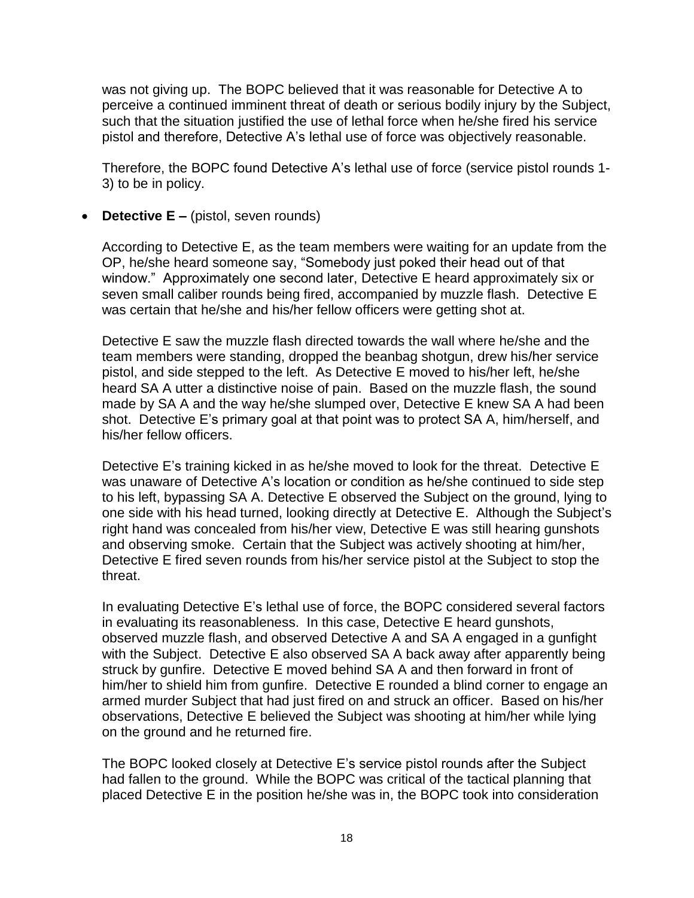was not giving up. The BOPC believed that it was reasonable for Detective A to perceive a continued imminent threat of death or serious bodily injury by the Subject, such that the situation justified the use of lethal force when he/she fired his service pistol and therefore, Detective A's lethal use of force was objectively reasonable.

Therefore, the BOPC found Detective A's lethal use of force (service pistol rounds 1- 3) to be in policy.

• **Detective E** – (pistol, seven rounds)

According to Detective E, as the team members were waiting for an update from the OP, he/she heard someone say, "Somebody just poked their head out of that window." Approximately one second later, Detective E heard approximately six or seven small caliber rounds being fired, accompanied by muzzle flash. Detective E was certain that he/she and his/her fellow officers were getting shot at.

Detective E saw the muzzle flash directed towards the wall where he/she and the team members were standing, dropped the beanbag shotgun, drew his/her service pistol, and side stepped to the left. As Detective E moved to his/her left, he/she heard SA A utter a distinctive noise of pain. Based on the muzzle flash, the sound made by SA A and the way he/she slumped over, Detective E knew SA A had been shot. Detective E's primary goal at that point was to protect SA A, him/herself, and his/her fellow officers.

Detective E's training kicked in as he/she moved to look for the threat. Detective E was unaware of Detective A's location or condition as he/she continued to side step to his left, bypassing SA A. Detective E observed the Subject on the ground, lying to one side with his head turned, looking directly at Detective E. Although the Subject's right hand was concealed from his/her view, Detective E was still hearing gunshots and observing smoke. Certain that the Subject was actively shooting at him/her, Detective E fired seven rounds from his/her service pistol at the Subject to stop the threat.

In evaluating Detective E's lethal use of force, the BOPC considered several factors in evaluating its reasonableness. In this case, Detective E heard gunshots, observed muzzle flash, and observed Detective A and SA A engaged in a gunfight with the Subject. Detective E also observed SA A back away after apparently being struck by gunfire. Detective E moved behind SA A and then forward in front of him/her to shield him from gunfire. Detective E rounded a blind corner to engage an armed murder Subject that had just fired on and struck an officer. Based on his/her observations, Detective E believed the Subject was shooting at him/her while lying on the ground and he returned fire.

The BOPC looked closely at Detective E's service pistol rounds after the Subject had fallen to the ground. While the BOPC was critical of the tactical planning that placed Detective E in the position he/she was in, the BOPC took into consideration